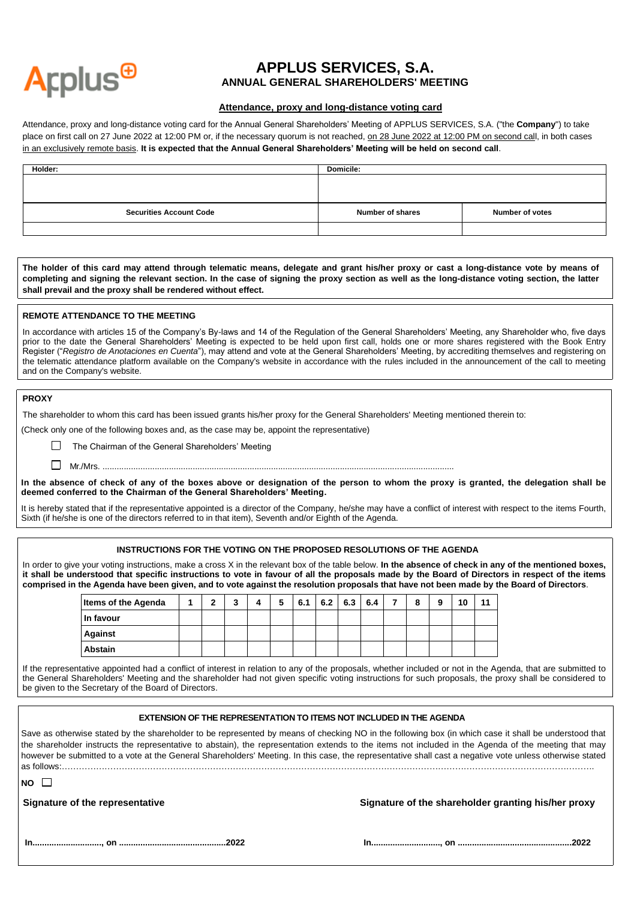

# **APPLUS SERVICES, S.A. ANNUAL GENERAL SHAREHOLDERS' MEETING**

# **Attendance, proxy and long-distance voting card**

Attendance, proxy and long-distance voting card for the Annual General Shareholders' Meeting of APPLUS SERVICES, S.A. ("the **Company**") to take place on first call on 27 June 2022 at 12:00 PM or, if the necessary quorum is not reached, on 28 June 2022 at 12:00 PM on second call, in both cases in an exclusively remote basis. **It is expected that the Annual General Shareholders' Meeting will be held on second call**.

| Holder:                        | <b>Domicile:</b>        |                        |
|--------------------------------|-------------------------|------------------------|
|                                |                         |                        |
|                                |                         |                        |
|                                |                         |                        |
| <b>Securities Account Code</b> | <b>Number of shares</b> | <b>Number of votes</b> |
|                                |                         |                        |

**The holder of this card may attend through telematic means, delegate and grant his/her proxy or cast a long-distance vote by means of completing and signing the relevant section. In the case of signing the proxy section as well as the long-distance voting section, the latter shall prevail and the proxy shall be rendered without effect.**

### **REMOTE ATTENDANCE TO THE MEETING**

In accordance with articles 15 of the Company's By-laws and 14 of the Regulation of the General Shareholders' Meeting, any Shareholder who, five days prior to the date the General Shareholders' Meeting is expected to be held upon first call, holds one or more shares registered with the Book Entry Register ("*Registro de Anotaciones en Cuenta*"), may attend and vote at the General Shareholders' Meeting, by accrediting themselves and registering on the telematic attendance platform available on the Company's website in accordance with the rules included in the announcement of the call to meeting and on the Company's website.

### **PROXY**

The shareholder to whom this card has been issued grants his/her proxy for the General Shareholders' Meeting mentioned therein to:

(Check only one of the following boxes and, as the case may be, appoint the representative)

The Chairman of the General Shareholders' Meeting

 $\Box$  Mr./Mrs. ...............

**In the absence of check of any of the boxes above or designation of the person to whom the proxy is granted, the delegation shall be deemed conferred to the Chairman of the General Shareholders' Meeting.**

It is hereby stated that if the representative appointed is a director of the Company, he/she may have a conflict of interest with respect to the items Fourth, Sixth (if he/she is one of the directors referred to in that item), Seventh and/or Eighth of the Agenda.

## **INSTRUCTIONS FOR THE VOTING ON THE PROPOSED RESOLUTIONS OF THE AGENDA**

In order to give your voting instructions, make a cross X in the relevant box of the table below. **In the absence of check in any of the mentioned boxes, it shall be understood that specific instructions to vote in favour of all the proposals made by the Board of Directors in respect of the items comprised in the Agenda have been given, and to vote against the resolution proposals that have not been made by the Board of Directors**.

| <b>Items of the Agenda</b> | ◠ | ◠<br>w | 5 | 6.1 | 6.2 | 6.3 | 6.4 | ⇁ | $\bullet$ | a | 10 | 11 |
|----------------------------|---|--------|---|-----|-----|-----|-----|---|-----------|---|----|----|
| In favour                  |   |        |   |     |     |     |     |   |           |   |    |    |
| <b>Against</b>             |   |        |   |     |     |     |     |   |           |   |    |    |
| <b>Abstain</b>             |   |        |   |     |     |     |     |   |           |   |    |    |

If the representative appointed had a conflict of interest in relation to any of the proposals, whether included or not in the Agenda, that are submitted to the General Shareholders' Meeting and the shareholder had not given specific voting instructions for such proposals, the proxy shall be considered to be given to the Secretary of the Board of Directors.

### **EXTENSION OF THE REPRESENTATION TO ITEMS NOT INCLUDED IN THE AGENDA**

Save as otherwise stated by the shareholder to be represented by means of checking NO in the following box (in which case it shall be understood that the shareholder instructs the representative to abstain), the representation extends to the items not included in the Agenda of the meeting that may however be submitted to a vote at the General Shareholders' Meeting. In this case, the representative shall cast a negative vote unless otherwise stated as follows:…………………………………………………………………………………………………………………………………………………………………….

|--|--|

 **Signature of the representative Signature of the shareholder granting his/her proxy**

|--|--|--|--|--|

**In............................., on .............................................2022 In............................., on ................................................2022**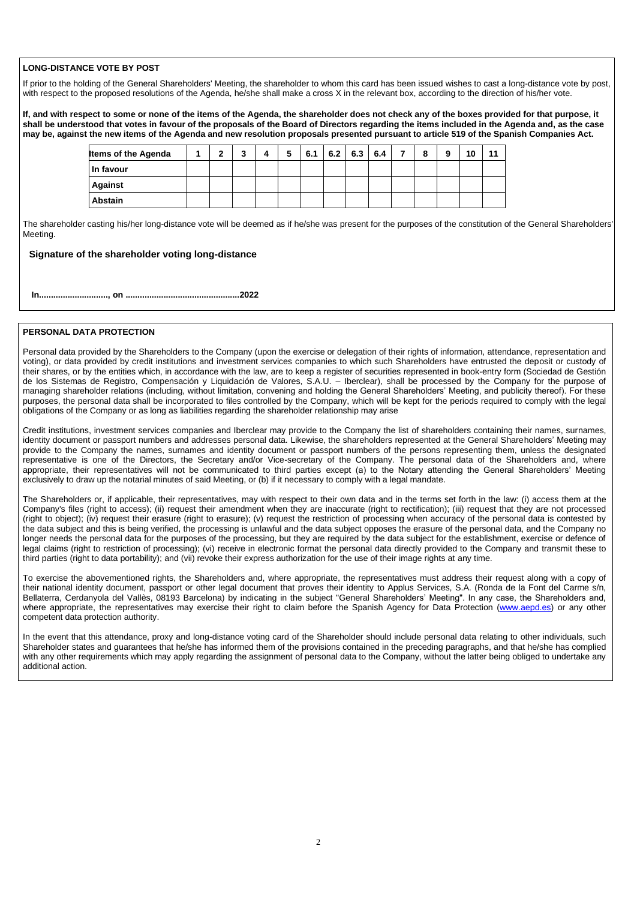# **LONG-DISTANCE VOTE BY POST**

If prior to the holding of the General Shareholders' Meeting, the shareholder to whom this card has been issued wishes to cast a long-distance vote by post, with respect to the proposed resolutions of the Agenda, he/she shall make a cross X in the relevant box, according to the direction of his/her vote.

**If, and with respect to some or none of the items of the Agenda, the shareholder does not check any of the boxes provided for that purpose, it shall be understood that votes in favour of the proposals of the Board of Directors regarding the items included in the Agenda and, as the case may be, against the new items of the Agenda and new resolution proposals presented pursuant to article 519 of the Spanish Companies Act.**

| <b>Items of the Agenda</b> | ◠ | <u>ົ</u><br> | 5 | 6.1 | 6.2 | 6.3 | 6.4 | ⇁ | 8 | 9 | 10 | 11 |
|----------------------------|---|--------------|---|-----|-----|-----|-----|---|---|---|----|----|
| In favour                  |   |              |   |     |     |     |     |   |   |   |    |    |
| <b>Against</b>             |   |              |   |     |     |     |     |   |   |   |    |    |
| <b>Abstain</b>             |   |              |   |     |     |     |     |   |   |   |    |    |

The shareholder casting his/her long-distance vote will be deemed as if he/she was present for the purposes of the constitution of the General Shareholders' Meeting.

# **Signature of the shareholder voting long-distance**

**In............................., on ................................................2022**

## **PERSONAL DATA PROTECTION**

Personal data provided by the Shareholders to the Company (upon the exercise or delegation of their rights of information, attendance, representation and voting), or data provided by credit institutions and investment services companies to which such Shareholders have entrusted the deposit or custody of their shares, or by the entities which, in accordance with the law, are to keep a register of securities represented in book-entry form (Sociedad de Gestión de los Sistemas de Registro, Compensación y Liquidación de Valores, S.A.U. – Iberclear), shall be processed by the Company for the purpose of managing shareholder relations (including, without limitation, convening and holding the General Shareholders' Meeting, and publicity thereof). For these purposes, the personal data shall be incorporated to files controlled by the Company, which will be kept for the periods required to comply with the legal obligations of the Company or as long as liabilities regarding the shareholder relationship may arise

Credit institutions, investment services companies and Iberclear may provide to the Company the list of shareholders containing their names, surnames, identity document or passport numbers and addresses personal data. Likewise, the shareholders represented at the General Shareholders' Meeting may provide to the Company the names, surnames and identity document or passport numbers of the persons representing them, unless the designated representative is one of the Directors, the Secretary and/or Vice-secretary of the Company. The personal data of the Shareholders and, where appropriate, their representatives will not be communicated to third parties except (a) to the Notary attending the General Shareholders' Meeting exclusively to draw up the notarial minutes of said Meeting, or (b) if it necessary to comply with a legal mandate.

The Shareholders or, if applicable, their representatives, may with respect to their own data and in the terms set forth in the law: (i) access them at the Company's files (right to access); (ii) request their amendment when they are inaccurate (right to rectification); (iii) request that they are not processed (right to object); (iv) request their erasure (right to erasure); (v) request the restriction of processing when accuracy of the personal data is contested by the data subject and this is being verified, the processing is unlawful and the data subject opposes the erasure of the personal data, and the Company no longer needs the personal data for the purposes of the processing, but they are required by the data subject for the establishment, exercise or defence of legal claims (right to restriction of processing); (vi) receive in electronic format the personal data directly provided to the Company and transmit these to third parties (right to data portability); and (vii) revoke their express authorization for the use of their image rights at any time.

To exercise the abovementioned rights, the Shareholders and, where appropriate, the representatives must address their request along with a copy of their national identity document, passport or other legal document that proves their identity to Applus Services, S.A. (Ronda de la Font del Carme s/n, Bellaterra, Cerdanyola del Vallès, 08193 Barcelona) by indicating in the subject "General Shareholders' Meeting". In any case, the Shareholders and, where appropriate, the representatives may exercise their right to claim before the Spanish Agency for Data Protection [\(www.aepd.es\)](http://www.aepd.es/) or any other competent data protection authority.

In the event that this attendance, proxy and long-distance voting card of the Shareholder should include personal data relating to other individuals, such Shareholder states and guarantees that he/she has informed them of the provisions contained in the preceding paragraphs, and that he/she has complied with any other requirements which may apply regarding the assignment of personal data to the Company, without the latter being obliged to undertake any additional action.